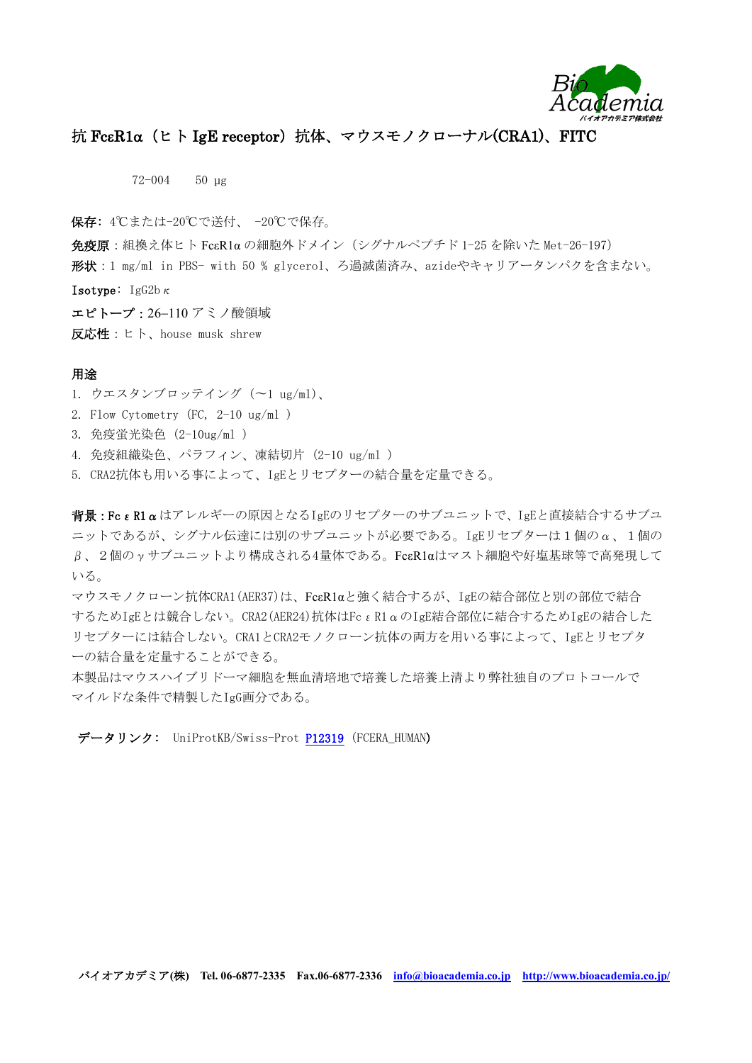

## 抗 FcεR1α (ヒト IgE receptor)抗体、マウスモノクローナル(CRA1)、FITC

72-004 50 µg

保存: 4℃または-20℃で送付、 -20℃で保存。

 $\hat{\mathbf{A}}$ 疫原: 組換え体ヒト Fc $\epsilon$ R1 $\alpha$ の細胞外ドメイン(シグナルペプチド 1-25 を除いた Met-26-197)

形状:1 mg/ml in PBS- with 50 % glycerol、ろ過滅菌済み、azideやキャリアータンパクを含まない。

**Isotype:** IgG2b $\kappa$ 

エピトープ: 26-110 アミノ酸領域 反応性:ヒト、house musk shrew

## 用途

- 1. ウエスタンブロッテイング (〜1 ug/ml)、
- 2. Flow Cytometry (FC, 2-10 ug/ml )
- 3. 免疫蛍光染色 (2-10ug/ml )
- 4. 免疫組織染色、パラフィン、凍結切片 (2-10 ug/ml )
- 5. CRA2抗体も用いる事によって、IgEとリセプターの結合量を定量できる。

背景:FcεR1αはアレルギーの原因となるIgEのリセプターのサブユニットで、IgEと直接結合するサブユ ニットであるが、シグナル伝達には別のサブユニットが必要である。IgEリセプターは1個のα、1個の  $\beta$ 、2個の $\gamma$ サブユニットより構成される4量体である。Fc $\epsilon$ R1αはマスト細胞や好塩基球等で高発現して いる。

マウスモノクローン抗体CRA1(AER37)は、FcεR1αと強く結合するが、IgEの結合部位と別の部位で結合 するためIgEとは競合しない。CRA2(AER24)抗体はFcεR1αのIgE結合部位に結合するためIgEの結合した リセプターには結合しない。CRA1とCRA2モノクローン抗体の両方を用いる事によって、IgEとリセプタ ーの結合量を定量することができる。

本製品はマウスハイブリドーマ細胞を無血清培地で培養した培養上清より弊社独自のプロトコールで マイルドな条件で精製したIgG画分である。

データリンク: UniProtKB/Swiss-Prot [P12319](http://www.uniprot.org/uniprot/P12319) (FCERA\_HUMAN)